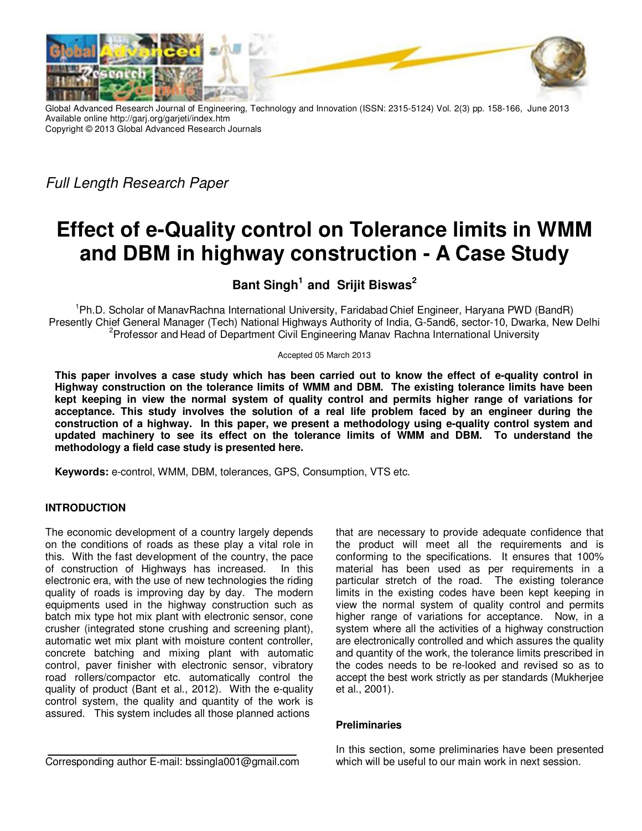

Global Advanced Research Journal of Engineering, Technology and Innovation (ISSN: 2315-5124) Vol. 2(3) pp. 158-166, June 2013 Available online http://garj.org/garjeti/index.htm Copyright © 2013 Global Advanced Research Journals

Full Length Research Paper

# **Effect of e-Quality control on Tolerance limits in WMM and DBM in highway construction - A Case Study**

**Bant Singh<sup>1</sup>and Srijit Biswas<sup>2</sup>**

<sup>1</sup>Ph.D. Scholar of ManavRachna International University, Faridabad Chief Engineer, Haryana PWD (BandR) Presently Chief General Manager (Tech) National Highways Authority of India, G-5and6, sector-10, Dwarka, New Delhi <sup>2</sup>Professor and Head of Department Civil Engineering Manav Rachna International University

Accepted 05 March 2013

**This paper involves a case study which has been carried out to know the effect of e-quality control in Highway construction on the tolerance limits of WMM and DBM. The existing tolerance limits have been kept keeping in view the normal system of quality control and permits higher range of variations for acceptance. This study involves the solution of a real life problem faced by an engineer during the construction of a highway. In this paper, we present a methodology using e-quality control system and updated machinery to see its effect on the tolerance limits of WMM and DBM. To understand the methodology a field case study is presented here.** 

**Keywords:** e-control, WMM, DBM, tolerances, GPS, Consumption, VTS etc.

# **INTRODUCTION**

The economic development of a country largely depends on the conditions of roads as these play a vital role in this. With the fast development of the country, the pace of construction of Highways has increased. In this electronic era, with the use of new technologies the riding quality of roads is improving day by day. The modern equipments used in the highway construction such as batch mix type hot mix plant with electronic sensor, cone crusher (integrated stone crushing and screening plant), automatic wet mix plant with moisture content controller, concrete batching and mixing plant with automatic control, paver finisher with electronic sensor, vibratory road rollers/compactor etc. automatically control the quality of product (Bant et al., 2012). With the e-quality control system, the quality and quantity of the work is assured. This system includes all those planned actions

that are necessary to provide adequate confidence that the product will meet all the requirements and is conforming to the specifications. It ensures that 100% material has been used as per requirements in a particular stretch of the road. The existing tolerance limits in the existing codes have been kept keeping in view the normal system of quality control and permits higher range of variations for acceptance. Now, in a system where all the activities of a highway construction are electronically controlled and which assures the quality and quantity of the work, the tolerance limits prescribed in the codes needs to be re-looked and revised so as to accept the best work strictly as per standards (Mukherjee et al., 2001).

# **Preliminaries**

In this section, some preliminaries have been presented which will be useful to our main work in next session.

Corresponding author E-mail: bssingla001@gmail.com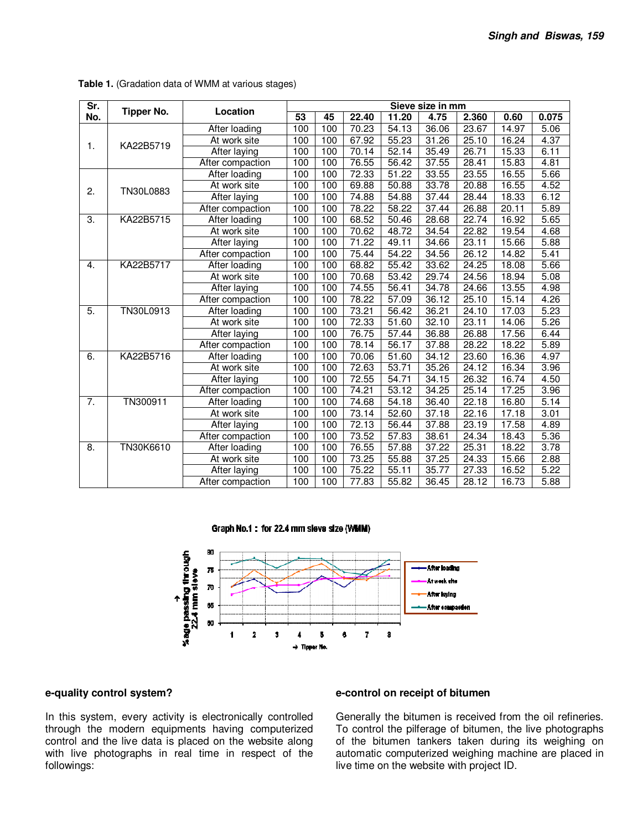| $\overline{\mathsf{Sr.}}$ | <b>Tipper No.</b> | Location         | Sieve size in mm |     |                    |                   |       |       |       |                   |
|---------------------------|-------------------|------------------|------------------|-----|--------------------|-------------------|-------|-------|-------|-------------------|
| No.                       |                   |                  | 53               | 45  | 22.40              | 11.20             | 4.75  | 2.360 | 0.60  | 0.075             |
|                           |                   | After loading    | 100              | 100 | 70.23              | 54.13             | 36.06 | 23.67 | 14.97 | 5.06              |
| 1.                        | KA22B5719         | At work site     | 100              | 100 | $\overline{67.92}$ | 55.23             | 31.26 | 25.10 | 16.24 | 4.37              |
|                           |                   | After laying     | 100              | 100 | 70.14              | 52.14             | 35.49 | 26.71 | 15.33 | 6.11              |
|                           |                   | After compaction | 100              | 100 | 76.55              | 56.42             | 37.55 | 28.41 | 15.83 | 4.81              |
|                           |                   | After loading    | 100              | 100 | 72.33              | 51.22             | 33.55 | 23.55 | 16.55 | 5.66              |
| 2.                        | TN30L0883         | At work site     | 100              | 100 | 69.88              | 50.88             | 33.78 | 20.88 | 16.55 | 4.52              |
|                           |                   | After laying     | 100              | 100 | 74.88              | 54.88             | 37.44 | 28.44 | 18.33 | 6.12              |
|                           |                   | After compaction | 100              | 100 | 78.22              | 58.22             | 37.44 | 26.88 | 20.11 | 5.89              |
| $\overline{3}$ .          | KA22B5715         | After loading    | 100              | 100 | 68.52              | 50.46             | 28.68 | 22.74 | 16.92 | 5.65              |
|                           |                   | At work site     | 100              | 100 | 70.62              | 48.72             | 34.54 | 22.82 | 19.54 | 4.68              |
|                           |                   | After laying     | 100              | 100 | 71.22              | 49.11             | 34.66 | 23.11 | 15.66 | 5.88              |
|                           |                   | After compaction | 100              | 100 | 75.44              | 54.22             | 34.56 | 26.12 | 14.82 | 5.41              |
| 4.                        | KA22B5717         | After loading    | 100              | 100 | 68.82              | 55.42             | 33.62 | 24.25 | 18.08 | $\overline{5.66}$ |
|                           |                   | At work site     | 100              | 100 | 70.68              | 53.42             | 29.74 | 24.56 | 18.94 | 5.08              |
|                           |                   | After laying     | 100              | 100 | 74.55              | 56.41             | 34.78 | 24.66 | 13.55 | 4.98              |
|                           |                   | After compaction | 100              | 100 | 78.22              | $\frac{1}{57.09}$ | 36.12 | 25.10 | 15.14 | 4.26              |
| 5.                        | TN30L0913         | After loading    | 100              | 100 | 73.21              | 56.42             | 36.21 | 24.10 | 17.03 | 5.23              |
|                           |                   | At work site     | 100              | 100 | 72.33              | 51.60             | 32.10 | 23.11 | 14.06 | 5.26              |
|                           |                   | After laying     | 100              | 100 | 76.75              | 57.44             | 36.88 | 26.88 | 17.56 | 6.44              |
|                           |                   | After compaction | 100              | 100 | 78.14              | 56.17             | 37.88 | 28.22 | 18.22 | 5.89              |
| 6.                        | KA22B5716         | After loading    | 100              | 100 | 70.06              | 51.60             | 34.12 | 23.60 | 16.36 | 4.97              |
|                           |                   | At work site     | 100              | 100 | 72.63              | 53.71             | 35.26 | 24.12 | 16.34 | 3.96              |
|                           |                   | After laying     | 100              | 100 | 72.55              | 54.71             | 34.15 | 26.32 | 16.74 | 4.50              |
|                           |                   | After compaction | 100              | 100 | 74.21              | 53.12             | 34.25 | 25.14 | 17.25 | 3.96              |
| $\overline{7}$ .          | TN300911          | After loading    | 100              | 100 | 74.68              | 54.18             | 36.40 | 22.18 | 16.80 | 5.14              |
|                           |                   | At work site     | 100              | 100 | 73.14              | 52.60             | 37.18 | 22.16 | 17.18 | 3.01              |
|                           |                   | After laying     | 100              | 100 | 72.13              | 56.44             | 37.88 | 23.19 | 17.58 | 4.89              |
|                           |                   | After compaction | 100              | 100 | 73.52              | 57.83             | 38.61 | 24.34 | 18.43 | 5.36              |
| 8.                        | TN30K6610         | After loading    | 100              | 100 | 76.55              | 57.88             | 37.22 | 25.31 | 18.22 | 3.78              |
|                           |                   | At work site     | 100              | 100 | 73.25              | 55.88             | 37.25 | 24.33 | 15.66 | 2.88              |
|                           |                   | After laying     | 100              | 100 | 75.22              | 55.11             | 35.77 | 27.33 | 16.52 | 5.22              |
|                           |                   | After compaction | 100              | 100 | 77.83              | 55.82             | 36.45 | 28.12 | 16.73 | 5.88              |

**Table 1.** (Gradation data of WMM at various stages)

Graph No.1: for 22.4 mm sleve size (WMM)



## **e-quality control system?**

In this system, every activity is electronically controlled through the modern equipments having computerized control and the live data is placed on the website along with live photographs in real time in respect of the followings:

## **e-control on receipt of bitumen**

Generally the bitumen is received from the oil refineries. To control the pilferage of bitumen, the live photographs of the bitumen tankers taken during its weighing on automatic computerized weighing machine are placed in live time on the website with project ID.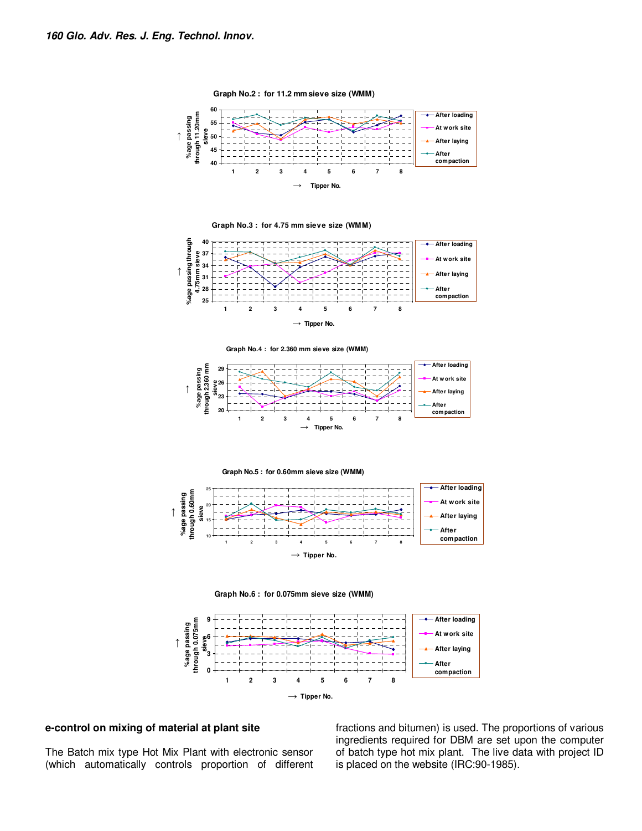

**Graph No.2 : for 11.2 mm sieve size (WMM)**

**Graph No.3 : for 4.75 mm sieve size (WMM)**



**Graph No.4 : for 2.360 mm sieve size (WMM)**



**Graph No.5 : for 0.60mm sieve size (WMM)**







## **e-control on mixing of material at plant site**

The Batch mix type Hot Mix Plant with electronic sensor (which automatically controls proportion of different fractions and bitumen) is used. The proportions of various ingredients required for DBM are set upon the computer of batch type hot mix plant. The live data with project ID is placed on the website (IRC:90-1985).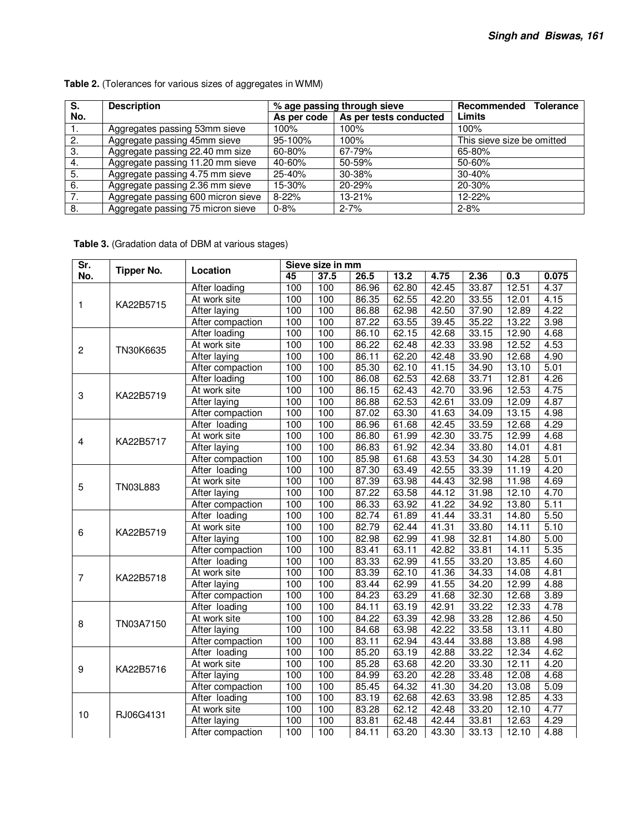| S.  | <b>Description</b>                 |             | % age passing through sieve | Recommended Tolerance      |  |  |
|-----|------------------------------------|-------------|-----------------------------|----------------------------|--|--|
| No. |                                    | As per code | As per tests conducted      | Limits                     |  |  |
| ι.  | Aggregates passing 53mm sieve      | 100%        | 100%                        | 100%                       |  |  |
| 2.  | Aggregate passing 45mm sieve       | 95-100%     | 100%                        | This sieve size be omitted |  |  |
| 3.  | Aggregate passing 22.40 mm size    | 60-80%      | 67-79%                      | 65-80%                     |  |  |
| 4.  | Aggregate passing 11.20 mm sieve   | 40-60%      | 50-59%                      | 50-60%                     |  |  |
| 5.  | Aggregate passing 4.75 mm sieve    | 25-40%      | 30-38%                      | $30 - 40%$                 |  |  |
| 6.  | Aggregate passing 2.36 mm sieve    | 15-30%      | 20-29%                      | 20-30%                     |  |  |
| 7.  | Aggregate passing 600 micron sieve | $8 - 22%$   | 13-21%                      | $12 - 22%$                 |  |  |
| 8.  | Aggregate passing 75 micron sieve  | $0 - 8%$    | $2 - 7%$                    | $2 - 8%$                   |  |  |

**Table 2.** (Tolerances for various sizes of aggregates in WMM)

# **Table 3.** (Gradation data of DBM at various stages)

| Sr.              |                   | Location            | Sieve size in mm |      |       |       |       |                                  |                                                                                                                                                                                                                                                                                     |       |
|------------------|-------------------|---------------------|------------------|------|-------|-------|-------|----------------------------------|-------------------------------------------------------------------------------------------------------------------------------------------------------------------------------------------------------------------------------------------------------------------------------------|-------|
| No.              | <b>Tipper No.</b> |                     | 45               | 37.5 | 26.5  | 13.2  | 4.75  | 2.36                             | 0.3                                                                                                                                                                                                                                                                                 | 0.075 |
|                  |                   | After loading       | 100              | 100  | 86.96 | 62.80 | 42.45 | 33.87                            |                                                                                                                                                                                                                                                                                     | 4.37  |
| 1                | KA22B5715         | At work site        | 100              | 100  | 86.35 | 62.55 | 42.20 | 33.55                            | 12.01                                                                                                                                                                                                                                                                               | 4.15  |
|                  |                   | <b>After laying</b> | 100              | 100  | 86.88 | 62.98 | 42.50 | 37.90                            | 12.89                                                                                                                                                                                                                                                                               | 4.22  |
|                  |                   | After compaction    | 100              | 100  | 87.22 | 63.55 | 39.45 | 35.22                            | 13.22                                                                                                                                                                                                                                                                               | 3.98  |
|                  |                   | After loading       | 100              | 100  | 86.10 | 62.15 | 42.68 | 33.15                            | 12.90                                                                                                                                                                                                                                                                               | 4.68  |
| $\overline{c}$   | TN30K6635         | At work site        | 100              | 100  | 86.22 | 62.48 | 42.33 | 33.98                            | 12.52                                                                                                                                                                                                                                                                               | 4.53  |
|                  |                   | <b>After laying</b> | 100              | 100  | 86.11 | 62.20 | 42.48 | 33.90                            | 12.68                                                                                                                                                                                                                                                                               | 4.90  |
|                  |                   | After compaction    | 100              | 100  | 85.30 | 62.10 | 41.15 | 34.90                            | 13.10                                                                                                                                                                                                                                                                               | 5.01  |
|                  |                   | After loading       | 100              | 100  | 86.08 | 62.53 | 42.68 | 33.71                            | 12.81                                                                                                                                                                                                                                                                               | 4.26  |
| 3                | KA22B5719         | At work site        | 100              | 100  | 86.15 | 62.43 | 42.70 |                                  |                                                                                                                                                                                                                                                                                     | 4.75  |
|                  |                   | After laying        | 100              | 100  | 86.88 | 62.53 | 42.61 | 33.09                            | 12.09                                                                                                                                                                                                                                                                               | 4.87  |
|                  |                   | After compaction    | 100              | 100  | 87.02 | 63.30 | 41.63 | 34.09                            | 12.51<br>12.53<br>13.15<br>12.68<br>12.99<br>14.01<br>14.28<br>11.19<br>11.98<br>12.10<br>13.80<br>14.80<br>14.11<br>14.80<br>14.11<br>13.85<br>14.08<br>12.99<br>12.68<br>12.33<br>12.86<br>13.11<br>13.88<br>12.34<br>12.11<br>12.08<br>13.08<br>12.85<br>12.10<br>12.63<br>12.10 | 4.98  |
|                  |                   | After loading       | 100              | 100  | 86.96 | 61.68 | 42.45 | 33.59                            |                                                                                                                                                                                                                                                                                     | 4.29  |
| 4                | KA22B5717         | At work site        | 100              | 100  | 86.80 | 61.99 | 42.30 | 33.75                            |                                                                                                                                                                                                                                                                                     | 4.68  |
|                  |                   | After laying        | 100              | 100  | 86.83 | 61.92 | 42.34 | 33.80                            |                                                                                                                                                                                                                                                                                     | 4.81  |
|                  |                   | After compaction    | 100              | 100  | 85.98 | 61.68 | 43.53 | 34.30                            |                                                                                                                                                                                                                                                                                     | 5.01  |
|                  | TN03L883          | After loading       | 100              | 100  | 87.30 | 63.49 | 42.55 | 33.39                            |                                                                                                                                                                                                                                                                                     | 4.20  |
| 5                |                   | At work site        | 100              | 100  | 87.39 | 63.98 | 44.43 | 32.98                            |                                                                                                                                                                                                                                                                                     | 4.69  |
|                  |                   | After laying        | 100              | 100  | 87.22 | 63.58 | 44.12 | 31.98                            |                                                                                                                                                                                                                                                                                     | 4.70  |
|                  |                   | After compaction    | 100              | 100  | 86.33 | 63.92 | 41.22 | 34.92                            |                                                                                                                                                                                                                                                                                     | 5.11  |
|                  |                   | After loading       | 100              | 100  | 82.74 | 61.89 | 41.44 | 33.31                            |                                                                                                                                                                                                                                                                                     | 5.50  |
| 6                | KA22B5719         | At work site        | 100              | 100  | 82.79 | 62.44 | 41.31 | 33.80                            |                                                                                                                                                                                                                                                                                     | 5.10  |
|                  |                   | <b>After laying</b> | 100              | 100  | 82.98 | 62.99 | 41.98 |                                  |                                                                                                                                                                                                                                                                                     | 5.00  |
|                  |                   | After compaction    | 100              | 100  | 83.41 | 63.11 | 42.82 | 33.81                            |                                                                                                                                                                                                                                                                                     | 5.35  |
|                  |                   | After loading       | 100              | 100  | 83.33 | 62.99 | 41.55 | 33.20                            |                                                                                                                                                                                                                                                                                     | 4.60  |
| $\overline{7}$   | KA22B5718         | At work site        | 100              | 100  | 83.39 | 62.10 | 41.36 | 34.33                            |                                                                                                                                                                                                                                                                                     | 4.81  |
|                  |                   | After laying        | 100              | 100  | 83.44 | 62.99 | 41.55 | 34.20                            |                                                                                                                                                                                                                                                                                     | 4.88  |
|                  |                   | After compaction    | 100              | 100  | 84.23 | 63.29 | 41.68 |                                  |                                                                                                                                                                                                                                                                                     | 3.89  |
|                  | TN03A7150         | After loading       | 100              | 100  | 84.11 | 63.19 | 42.91 | 33.22                            |                                                                                                                                                                                                                                                                                     | 4.78  |
| 8                |                   | At work site        | 100              | 100  | 84.22 | 63.39 | 42.98 | 33.28                            |                                                                                                                                                                                                                                                                                     | 4.50  |
|                  |                   | <b>After laying</b> | 100              | 100  | 84.68 | 63.98 | 42.22 | 33.58                            |                                                                                                                                                                                                                                                                                     | 4.80  |
|                  |                   | After compaction    | 100              | 100  | 83.11 | 62.94 | 43.44 | 33.88                            |                                                                                                                                                                                                                                                                                     | 4.98  |
|                  | KA22B5716         | After loading       | 100              | 100  | 85.20 | 63.19 | 42.88 | 33.22                            |                                                                                                                                                                                                                                                                                     | 4.62  |
| $\boldsymbol{9}$ |                   | At work site        | 100              | 100  | 85.28 | 63.68 | 42.20 | 33.30                            |                                                                                                                                                                                                                                                                                     | 4.20  |
|                  |                   | After laying        | 100              | 100  | 84.99 | 63.20 | 42.28 | 33.48                            |                                                                                                                                                                                                                                                                                     | 4.68  |
|                  |                   | After compaction    | 100              | 100  | 85.45 | 64.32 | 41.30 | 34.20                            |                                                                                                                                                                                                                                                                                     | 5.09  |
|                  |                   | After loading       | 100              | 100  | 83.19 | 62.68 | 42.63 | 33.98                            |                                                                                                                                                                                                                                                                                     | 4.33  |
|                  | RJ06G4131         | At work site        | 100              | 100  | 83.28 | 62.12 | 42.48 | 33.20                            |                                                                                                                                                                                                                                                                                     | 4.77  |
| 10               |                   | <b>After laying</b> | 100              | 100  | 83.81 | 62.48 | 42.44 | 33.81                            |                                                                                                                                                                                                                                                                                     | 4.29  |
|                  |                   | After compaction    | 100              | 100  | 84.11 | 63.20 | 43.30 | 33.96<br>32.81<br>32.30<br>33.13 | 4.88                                                                                                                                                                                                                                                                                |       |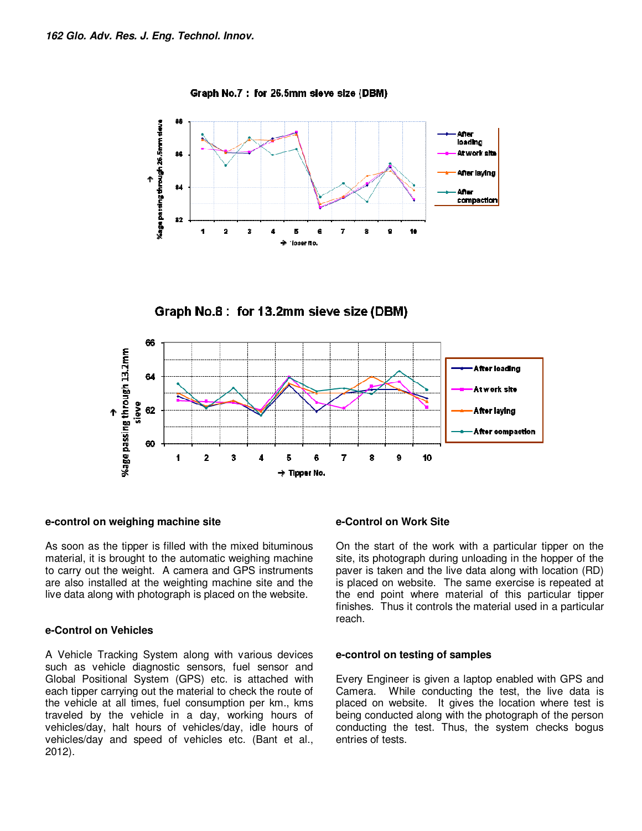

Graph No.8 : for 13.2mm sieve size (DBM)

Graph No.7: for 26.5mm sleve size (DBM)



# **e-control on weighing machine site**

As soon as the tipper is filled with the mixed bituminous material, it is brought to the automatic weighing machine to carry out the weight. A camera and GPS instruments are also installed at the weighting machine site and the live data along with photograph is placed on the website.

# **e-Control on Vehicles**

A Vehicle Tracking System along with various devices such as vehicle diagnostic sensors, fuel sensor and Global Positional System (GPS) etc. is attached with each tipper carrying out the material to check the route of the vehicle at all times, fuel consumption per km., kms traveled by the vehicle in a day, working hours of vehicles/day, halt hours of vehicles/day, idle hours of vehicles/day and speed of vehicles etc. (Bant et al., 2012).

# **e-Control on Work Site**

On the start of the work with a particular tipper on the site, its photograph during unloading in the hopper of the paver is taken and the live data along with location (RD) is placed on website. The same exercise is repeated at the end point where material of this particular tipper finishes. Thus it controls the material used in a particular reach.

## **e-control on testing of samples**

Every Engineer is given a laptop enabled with GPS and Camera. While conducting the test, the live data is placed on website. It gives the location where test is being conducted along with the photograph of the person conducting the test. Thus, the system checks bogus entries of tests.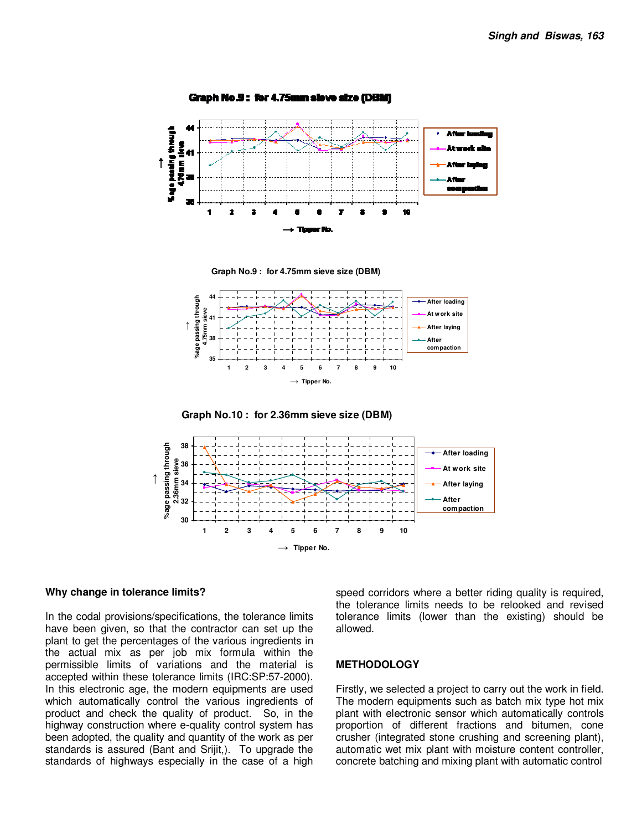





**Graph No.10 : for 2.36mm sieve size (DBM)**



#### **Why change in tolerance limits?**

In the codal provisions/specifications, the tolerance limits have been given, so that the contractor can set up the plant to get the percentages of the various ingredients in the actual mix as per job mix formula within the permissible limits of variations and the material is accepted within these tolerance limits (IRC:SP:57-2000). In this electronic age, the modern equipments are used which automatically control the various ingredients of product and check the quality of product. So, in the highway construction where e-quality control system has been adopted, the quality and quantity of the work as per standards is assured (Bant and Srijit,). To upgrade the standards of highways especially in the case of a high

speed corridors where a better riding quality is required, the tolerance limits needs to be relooked and revised tolerance limits (lower than the existing) should be allowed.

## **METHODOLOGY**

Firstly, we selected a project to carry out the work in field. The modern equipments such as batch mix type hot mix plant with electronic sensor which automatically controls proportion of different fractions and bitumen, cone crusher (integrated stone crushing and screening plant), automatic wet mix plant with moisture content controller, concrete batching and mixing plant with automatic control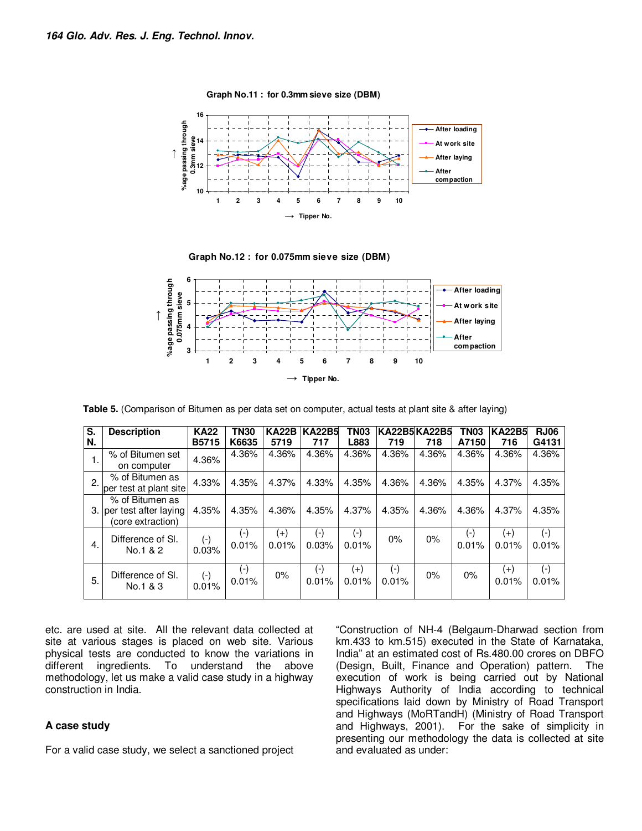

**Graph No.12 : for 0.075mm sieve size (DBM)**

**Graph No.11 : for 0.3mm sieve size (DBM)**



**Table 5.** (Comparison of Bitumen as per data set on computer, actual tests at plant site & after laying)

| S. | <b>Description</b>                                            | <b>KA22</b>                 | <b>TN30</b>           | <b>KA22B</b>      | <b>KA22B5</b>  | <b>TN03</b>                 |                    | KA22B5 KA22B5 | TN <sub>03</sub> | <b>KA22B5</b>     | <b>RJ06</b>        |
|----|---------------------------------------------------------------|-----------------------------|-----------------------|-------------------|----------------|-----------------------------|--------------------|---------------|------------------|-------------------|--------------------|
| N. |                                                               | <b>B5715</b>                | K6635                 | 5719              | 717            | L883                        | 719                | 718           | A7150            | 716               | G4131              |
| 1. | % of Bitumen set<br>on computer                               | 4.36%                       | 4.36%                 | 4.36%             | 4.36%          | 4.36%                       | 4.36%              | 4.36%         | 4.36%            | 4.36%             | 4.36%              |
| 2. | % of Bitumen as<br>per test at plant site                     | 4.33%                       | 4.35%                 | 4.37%             | 4.33%          | 4.35%                       | 4.36%              | 4.36%         | 4.35%            | 4.37%             | 4.35%              |
| 3. | % of Bitumen as<br>per test after laying<br>(core extraction) | 4.35%                       | 4.35%                 | 4.36%             | 4.35%          | 4.37%                       | 4.35%              | 4.36%         | 4.36%            | 4.37%             | 4.35%              |
| 4. | Difference of SI.<br>No.1 & 2                                 | $(\cdot)$<br>0.03%          | $(\hbox{-})$<br>0.01% | $^{(+)}$<br>0.01% | $(-)$<br>0.03% | $(\textnormal{-})$<br>0.01% | 0%                 | 0%            | (-)<br>0.01%     | $^{(+)}$<br>0.01% | $(\cdot)$<br>0.01% |
| 5. | Difference of SI.<br>No.1 & 3                                 | $(\textnormal{-})$<br>0.01% | (-)<br>0.01%          | 0%                | $(-)$<br>0.01% | $(+)$<br>0.01%              | $(\cdot)$<br>0.01% | 0%            | 0%               | $(+)$<br>0.01%    | $(-)$<br>0.01%     |

etc. are used at site. All the relevant data collected at site at various stages is placed on web site. Various physical tests are conducted to know the variations in different ingredients. To understand the above different ingredients. To understand the methodology, let us make a valid case study in a highway construction in India.

# **A case study**

For a valid case study, we select a sanctioned project

"Construction of NH-4 (Belgaum-Dharwad section from km.433 to km.515) executed in the State of Karnataka, India" at an estimated cost of Rs.480.00 crores on DBFO (Design, Built, Finance and Operation) pattern. The execution of work is being carried out by National Highways Authority of India according to technical specifications laid down by Ministry of Road Transport and Highways (MoRTandH) (Ministry of Road Transport and Highways, 2001). For the sake of simplicity in presenting our methodology the data is collected at site and evaluated as under: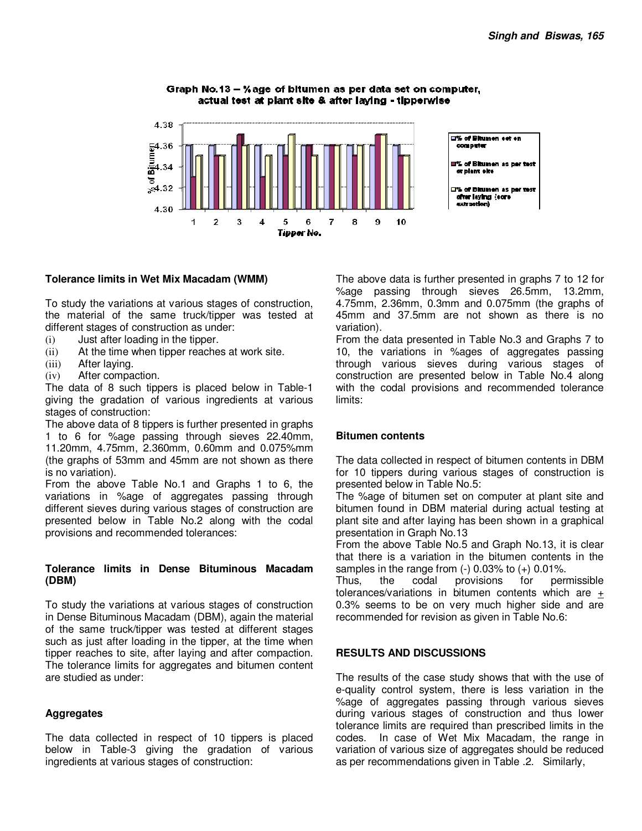Graph No.13 - % age of bitumen as per data set on computer, actual test at plant site & after laying - tipperwise



# **Tolerance limits in Wet Mix Macadam (WMM)**

To study the variations at various stages of construction, the material of the same truck/tipper was tested at different stages of construction as under:

- (i) Just after loading in the tipper.
- (ii) At the time when tipper reaches at work site.
- (iii) After laying.
- (iv) After compaction.

The data of 8 such tippers is placed below in Table-1 giving the gradation of various ingredients at various stages of construction:

The above data of 8 tippers is further presented in graphs 1 to 6 for %age passing through sieves 22.40mm, 11.20mm, 4.75mm, 2.360mm, 0.60mm and 0.075%mm (the graphs of 53mm and 45mm are not shown as there is no variation).

From the above Table No.1 and Graphs 1 to 6, the variations in %age of aggregates passing through different sieves during various stages of construction are presented below in Table No.2 along with the codal provisions and recommended tolerances:

## **Tolerance limits in Dense Bituminous Macadam (DBM)**

To study the variations at various stages of construction in Dense Bituminous Macadam (DBM), again the material of the same truck/tipper was tested at different stages such as just after loading in the tipper, at the time when tipper reaches to site, after laying and after compaction. The tolerance limits for aggregates and bitumen content are studied as under:

# **Aggregates**

The data collected in respect of 10 tippers is placed below in Table-3 giving the gradation of various ingredients at various stages of construction:

The above data is further presented in graphs 7 to 12 for %age passing through sieves 26.5mm, 13.2mm, 4.75mm, 2.36mm, 0.3mm and 0.075mm (the graphs of 45mm and 37.5mm are not shown as there is no variation).

From the data presented in Table No.3 and Graphs 7 to 10, the variations in %ages of aggregates passing through various sieves during various stages of construction are presented below in Table No.4 along with the codal provisions and recommended tolerance limits:

## **Bitumen contents**

The data collected in respect of bitumen contents in DBM for 10 tippers during various stages of construction is presented below in Table No.5:

The %age of bitumen set on computer at plant site and bitumen found in DBM material during actual testing at plant site and after laying has been shown in a graphical presentation in Graph No.13

From the above Table No.5 and Graph No.13, it is clear that there is a variation in the bitumen contents in the samples in the range from  $(-)$  0.03% to  $(+)$  0.01%.

Thus, the codal provisions for permissible tolerances/variations in bitumen contents which are + 0.3% seems to be on very much higher side and are recommended for revision as given in Table No.6:

## **RESULTS AND DISCUSSIONS**

The results of the case study shows that with the use of e-quality control system, there is less variation in the %age of aggregates passing through various sieves during various stages of construction and thus lower tolerance limits are required than prescribed limits in the codes. In case of Wet Mix Macadam, the range in variation of various size of aggregates should be reduced as per recommendations given in Table .2. Similarly,